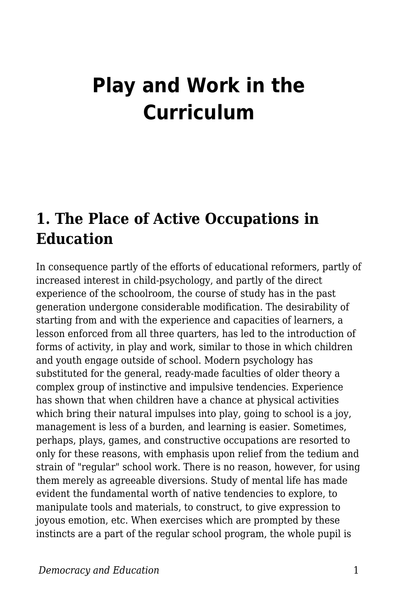# **Play and Work in the Curriculum**

### **1. The Place of Active Occupations in Education**

In consequence partly of the efforts of educational reformers, partly of increased interest in child-psychology, and partly of the direct experience of the schoolroom, the course of study has in the past generation undergone considerable modification. The desirability of starting from and with the experience and capacities of learners, a lesson enforced from all three quarters, has led to the introduction of forms of activity, in play and work, similar to those in which children and youth engage outside of school. Modern psychology has substituted for the general, ready-made faculties of older theory a complex group of instinctive and impulsive tendencies. Experience has shown that when children have a chance at physical activities which bring their natural impulses into play, going to school is a joy, management is less of a burden, and learning is easier. Sometimes, perhaps, plays, games, and constructive occupations are resorted to only for these reasons, with emphasis upon relief from the tedium and strain of "regular" school work. There is no reason, however, for using them merely as agreeable diversions. Study of mental life has made evident the fundamental worth of native tendencies to explore, to manipulate tools and materials, to construct, to give expression to joyous emotion, etc. When exercises which are prompted by these instincts are a part of the regular school program, the whole pupil is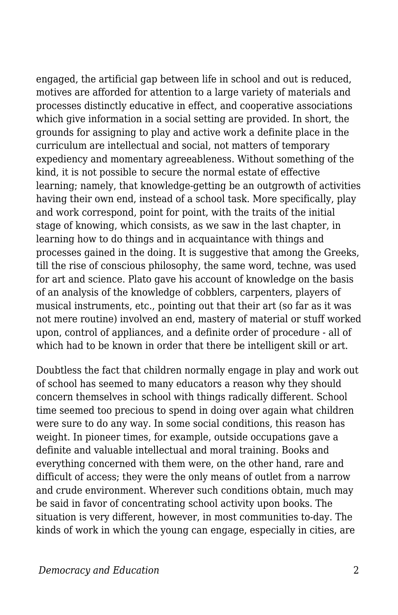engaged, the artificial gap between life in school and out is reduced, motives are afforded for attention to a large variety of materials and processes distinctly educative in effect, and cooperative associations which give information in a social setting are provided. In short, the grounds for assigning to play and active work a definite place in the curriculum are intellectual and social, not matters of temporary expediency and momentary agreeableness. Without something of the kind, it is not possible to secure the normal estate of effective learning; namely, that knowledge-getting be an outgrowth of activities having their own end, instead of a school task. More specifically, play and work correspond, point for point, with the traits of the initial stage of knowing, which consists, as we saw in the last chapter, in learning how to do things and in acquaintance with things and processes gained in the doing. It is suggestive that among the Greeks, till the rise of conscious philosophy, the same word, techne, was used for art and science. Plato gave his account of knowledge on the basis of an analysis of the knowledge of cobblers, carpenters, players of musical instruments, etc., pointing out that their art (so far as it was not mere routine) involved an end, mastery of material or stuff worked upon, control of appliances, and a definite order of procedure - all of which had to be known in order that there be intelligent skill or art.

Doubtless the fact that children normally engage in play and work out of school has seemed to many educators a reason why they should concern themselves in school with things radically different. School time seemed too precious to spend in doing over again what children were sure to do any way. In some social conditions, this reason has weight. In pioneer times, for example, outside occupations gave a definite and valuable intellectual and moral training. Books and everything concerned with them were, on the other hand, rare and difficult of access; they were the only means of outlet from a narrow and crude environment. Wherever such conditions obtain, much may be said in favor of concentrating school activity upon books. The situation is very different, however, in most communities to-day. The kinds of work in which the young can engage, especially in cities, are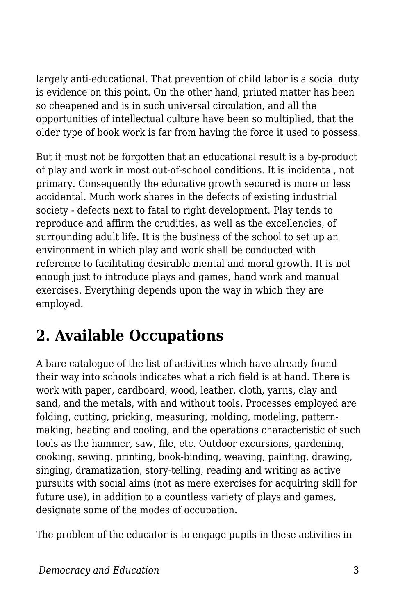largely anti-educational. That prevention of child labor is a social duty is evidence on this point. On the other hand, printed matter has been so cheapened and is in such universal circulation, and all the opportunities of intellectual culture have been so multiplied, that the older type of book work is far from having the force it used to possess.

But it must not be forgotten that an educational result is a by-product of play and work in most out-of-school conditions. It is incidental, not primary. Consequently the educative growth secured is more or less accidental. Much work shares in the defects of existing industrial society - defects next to fatal to right development. Play tends to reproduce and affirm the crudities, as well as the excellencies, of surrounding adult life. It is the business of the school to set up an environment in which play and work shall be conducted with reference to facilitating desirable mental and moral growth. It is not enough just to introduce plays and games, hand work and manual exercises. Everything depends upon the way in which they are employed.

## **2. Available Occupations**

A bare catalogue of the list of activities which have already found their way into schools indicates what a rich field is at hand. There is work with paper, cardboard, wood, leather, cloth, yarns, clay and sand, and the metals, with and without tools. Processes employed are folding, cutting, pricking, measuring, molding, modeling, patternmaking, heating and cooling, and the operations characteristic of such tools as the hammer, saw, file, etc. Outdoor excursions, gardening, cooking, sewing, printing, book-binding, weaving, painting, drawing, singing, dramatization, story-telling, reading and writing as active pursuits with social aims (not as mere exercises for acquiring skill for future use), in addition to a countless variety of plays and games, designate some of the modes of occupation.

The problem of the educator is to engage pupils in these activities in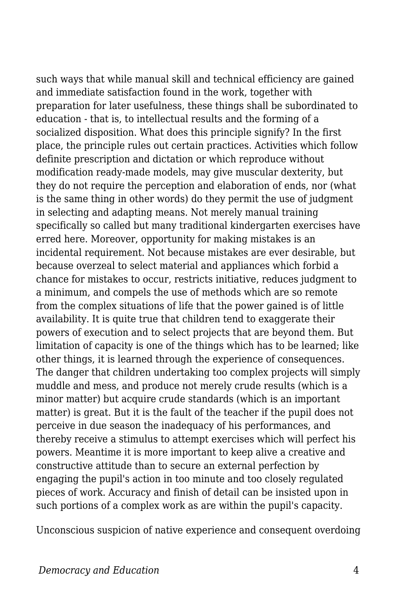such ways that while manual skill and technical efficiency are gained and immediate satisfaction found in the work, together with preparation for later usefulness, these things shall be subordinated to education - that is, to intellectual results and the forming of a socialized disposition. What does this principle signify? In the first place, the principle rules out certain practices. Activities which follow definite prescription and dictation or which reproduce without modification ready-made models, may give muscular dexterity, but they do not require the perception and elaboration of ends, nor (what is the same thing in other words) do they permit the use of judgment in selecting and adapting means. Not merely manual training specifically so called but many traditional kindergarten exercises have erred here. Moreover, opportunity for making mistakes is an incidental requirement. Not because mistakes are ever desirable, but because overzeal to select material and appliances which forbid a chance for mistakes to occur, restricts initiative, reduces judgment to a minimum, and compels the use of methods which are so remote from the complex situations of life that the power gained is of little availability. It is quite true that children tend to exaggerate their powers of execution and to select projects that are beyond them. But limitation of capacity is one of the things which has to be learned; like other things, it is learned through the experience of consequences. The danger that children undertaking too complex projects will simply muddle and mess, and produce not merely crude results (which is a minor matter) but acquire crude standards (which is an important matter) is great. But it is the fault of the teacher if the pupil does not perceive in due season the inadequacy of his performances, and thereby receive a stimulus to attempt exercises which will perfect his powers. Meantime it is more important to keep alive a creative and constructive attitude than to secure an external perfection by engaging the pupil's action in too minute and too closely regulated pieces of work. Accuracy and finish of detail can be insisted upon in such portions of a complex work as are within the pupil's capacity.

Unconscious suspicion of native experience and consequent overdoing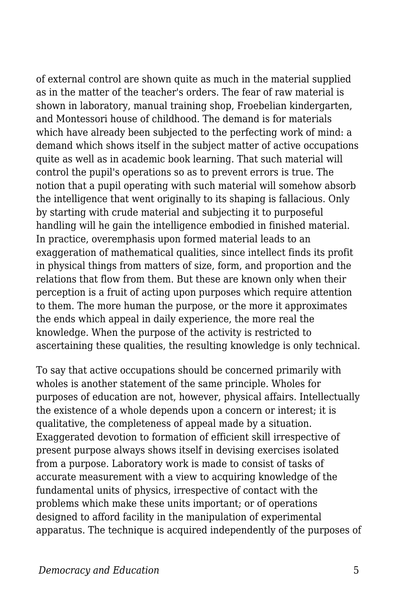of external control are shown quite as much in the material supplied as in the matter of the teacher's orders. The fear of raw material is shown in laboratory, manual training shop, Froebelian kindergarten, and Montessori house of childhood. The demand is for materials which have already been subjected to the perfecting work of mind: a demand which shows itself in the subject matter of active occupations quite as well as in academic book learning. That such material will control the pupil's operations so as to prevent errors is true. The notion that a pupil operating with such material will somehow absorb the intelligence that went originally to its shaping is fallacious. Only by starting with crude material and subjecting it to purposeful handling will he gain the intelligence embodied in finished material. In practice, overemphasis upon formed material leads to an exaggeration of mathematical qualities, since intellect finds its profit in physical things from matters of size, form, and proportion and the relations that flow from them. But these are known only when their perception is a fruit of acting upon purposes which require attention to them. The more human the purpose, or the more it approximates the ends which appeal in daily experience, the more real the knowledge. When the purpose of the activity is restricted to ascertaining these qualities, the resulting knowledge is only technical.

To say that active occupations should be concerned primarily with wholes is another statement of the same principle. Wholes for purposes of education are not, however, physical affairs. Intellectually the existence of a whole depends upon a concern or interest; it is qualitative, the completeness of appeal made by a situation. Exaggerated devotion to formation of efficient skill irrespective of present purpose always shows itself in devising exercises isolated from a purpose. Laboratory work is made to consist of tasks of accurate measurement with a view to acquiring knowledge of the fundamental units of physics, irrespective of contact with the problems which make these units important; or of operations designed to afford facility in the manipulation of experimental apparatus. The technique is acquired independently of the purposes of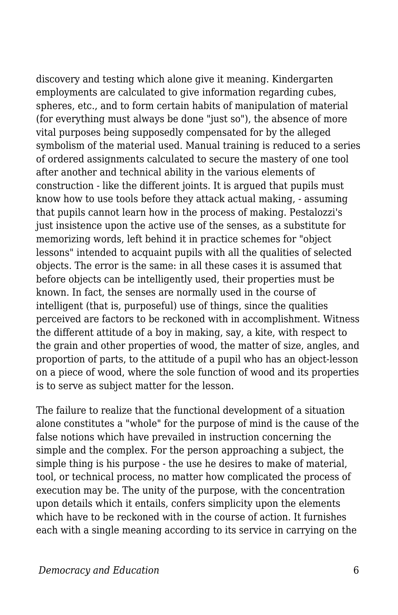discovery and testing which alone give it meaning. Kindergarten employments are calculated to give information regarding cubes, spheres, etc., and to form certain habits of manipulation of material (for everything must always be done "just so"), the absence of more vital purposes being supposedly compensated for by the alleged symbolism of the material used. Manual training is reduced to a series of ordered assignments calculated to secure the mastery of one tool after another and technical ability in the various elements of construction - like the different joints. It is argued that pupils must know how to use tools before they attack actual making, - assuming that pupils cannot learn how in the process of making. Pestalozzi's just insistence upon the active use of the senses, as a substitute for memorizing words, left behind it in practice schemes for "object lessons" intended to acquaint pupils with all the qualities of selected objects. The error is the same: in all these cases it is assumed that before objects can be intelligently used, their properties must be known. In fact, the senses are normally used in the course of intelligent (that is, purposeful) use of things, since the qualities perceived are factors to be reckoned with in accomplishment. Witness the different attitude of a boy in making, say, a kite, with respect to the grain and other properties of wood, the matter of size, angles, and proportion of parts, to the attitude of a pupil who has an object-lesson on a piece of wood, where the sole function of wood and its properties is to serve as subject matter for the lesson.

The failure to realize that the functional development of a situation alone constitutes a "whole" for the purpose of mind is the cause of the false notions which have prevailed in instruction concerning the simple and the complex. For the person approaching a subject, the simple thing is his purpose - the use he desires to make of material, tool, or technical process, no matter how complicated the process of execution may be. The unity of the purpose, with the concentration upon details which it entails, confers simplicity upon the elements which have to be reckoned with in the course of action. It furnishes each with a single meaning according to its service in carrying on the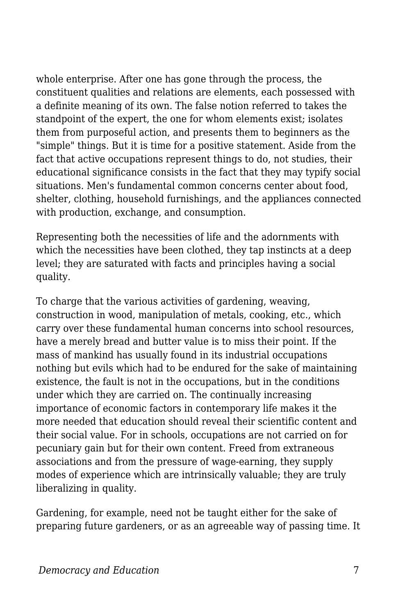whole enterprise. After one has gone through the process, the constituent qualities and relations are elements, each possessed with a definite meaning of its own. The false notion referred to takes the standpoint of the expert, the one for whom elements exist; isolates them from purposeful action, and presents them to beginners as the "simple" things. But it is time for a positive statement. Aside from the fact that active occupations represent things to do, not studies, their educational significance consists in the fact that they may typify social situations. Men's fundamental common concerns center about food, shelter, clothing, household furnishings, and the appliances connected with production, exchange, and consumption.

Representing both the necessities of life and the adornments with which the necessities have been clothed, they tap instincts at a deep level; they are saturated with facts and principles having a social quality.

To charge that the various activities of gardening, weaving, construction in wood, manipulation of metals, cooking, etc., which carry over these fundamental human concerns into school resources, have a merely bread and butter value is to miss their point. If the mass of mankind has usually found in its industrial occupations nothing but evils which had to be endured for the sake of maintaining existence, the fault is not in the occupations, but in the conditions under which they are carried on. The continually increasing importance of economic factors in contemporary life makes it the more needed that education should reveal their scientific content and their social value. For in schools, occupations are not carried on for pecuniary gain but for their own content. Freed from extraneous associations and from the pressure of wage-earning, they supply modes of experience which are intrinsically valuable; they are truly liberalizing in quality.

Gardening, for example, need not be taught either for the sake of preparing future gardeners, or as an agreeable way of passing time. It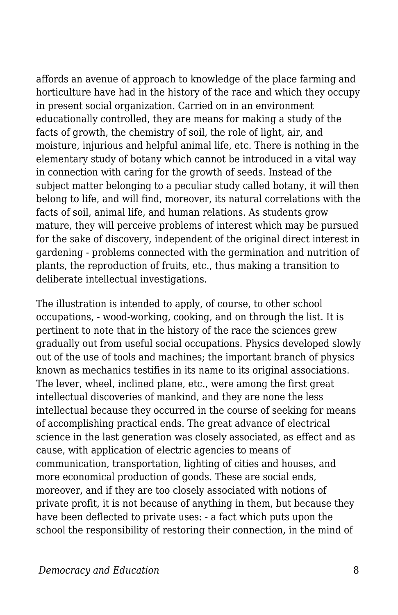affords an avenue of approach to knowledge of the place farming and horticulture have had in the history of the race and which they occupy in present social organization. Carried on in an environment educationally controlled, they are means for making a study of the facts of growth, the chemistry of soil, the role of light, air, and moisture, injurious and helpful animal life, etc. There is nothing in the elementary study of botany which cannot be introduced in a vital way in connection with caring for the growth of seeds. Instead of the subject matter belonging to a peculiar study called botany, it will then belong to life, and will find, moreover, its natural correlations with the facts of soil, animal life, and human relations. As students grow mature, they will perceive problems of interest which may be pursued for the sake of discovery, independent of the original direct interest in gardening - problems connected with the germination and nutrition of plants, the reproduction of fruits, etc., thus making a transition to deliberate intellectual investigations.

The illustration is intended to apply, of course, to other school occupations, - wood-working, cooking, and on through the list. It is pertinent to note that in the history of the race the sciences grew gradually out from useful social occupations. Physics developed slowly out of the use of tools and machines; the important branch of physics known as mechanics testifies in its name to its original associations. The lever, wheel, inclined plane, etc., were among the first great intellectual discoveries of mankind, and they are none the less intellectual because they occurred in the course of seeking for means of accomplishing practical ends. The great advance of electrical science in the last generation was closely associated, as effect and as cause, with application of electric agencies to means of communication, transportation, lighting of cities and houses, and more economical production of goods. These are social ends, moreover, and if they are too closely associated with notions of private profit, it is not because of anything in them, but because they have been deflected to private uses: - a fact which puts upon the school the responsibility of restoring their connection, in the mind of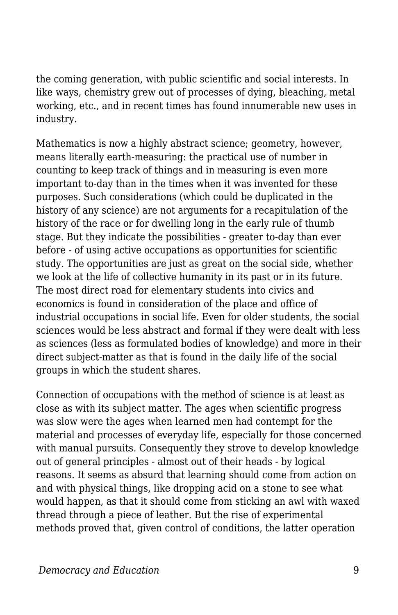the coming generation, with public scientific and social interests. In like ways, chemistry grew out of processes of dying, bleaching, metal working, etc., and in recent times has found innumerable new uses in industry.

Mathematics is now a highly abstract science; geometry, however, means literally earth-measuring: the practical use of number in counting to keep track of things and in measuring is even more important to-day than in the times when it was invented for these purposes. Such considerations (which could be duplicated in the history of any science) are not arguments for a recapitulation of the history of the race or for dwelling long in the early rule of thumb stage. But they indicate the possibilities - greater to-day than ever before - of using active occupations as opportunities for scientific study. The opportunities are just as great on the social side, whether we look at the life of collective humanity in its past or in its future. The most direct road for elementary students into civics and economics is found in consideration of the place and office of industrial occupations in social life. Even for older students, the social sciences would be less abstract and formal if they were dealt with less as sciences (less as formulated bodies of knowledge) and more in their direct subject-matter as that is found in the daily life of the social groups in which the student shares.

Connection of occupations with the method of science is at least as close as with its subject matter. The ages when scientific progress was slow were the ages when learned men had contempt for the material and processes of everyday life, especially for those concerned with manual pursuits. Consequently they strove to develop knowledge out of general principles - almost out of their heads - by logical reasons. It seems as absurd that learning should come from action on and with physical things, like dropping acid on a stone to see what would happen, as that it should come from sticking an awl with waxed thread through a piece of leather. But the rise of experimental methods proved that, given control of conditions, the latter operation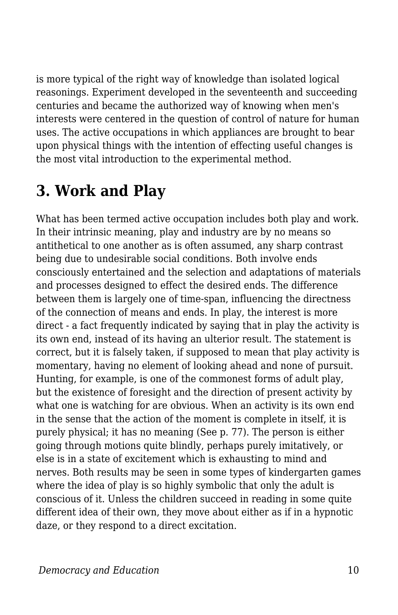is more typical of the right way of knowledge than isolated logical reasonings. Experiment developed in the seventeenth and succeeding centuries and became the authorized way of knowing when men's interests were centered in the question of control of nature for human uses. The active occupations in which appliances are brought to bear upon physical things with the intention of effecting useful changes is the most vital introduction to the experimental method.

## **3. Work and Play**

What has been termed active occupation includes both play and work. In their intrinsic meaning, play and industry are by no means so antithetical to one another as is often assumed, any sharp contrast being due to undesirable social conditions. Both involve ends consciously entertained and the selection and adaptations of materials and processes designed to effect the desired ends. The difference between them is largely one of time-span, influencing the directness of the connection of means and ends. In play, the interest is more direct - a fact frequently indicated by saying that in play the activity is its own end, instead of its having an ulterior result. The statement is correct, but it is falsely taken, if supposed to mean that play activity is momentary, having no element of looking ahead and none of pursuit. Hunting, for example, is one of the commonest forms of adult play, but the existence of foresight and the direction of present activity by what one is watching for are obvious. When an activity is its own end in the sense that the action of the moment is complete in itself, it is purely physical; it has no meaning (See p. 77). The person is either going through motions quite blindly, perhaps purely imitatively, or else is in a state of excitement which is exhausting to mind and nerves. Both results may be seen in some types of kindergarten games where the idea of play is so highly symbolic that only the adult is conscious of it. Unless the children succeed in reading in some quite different idea of their own, they move about either as if in a hypnotic daze, or they respond to a direct excitation.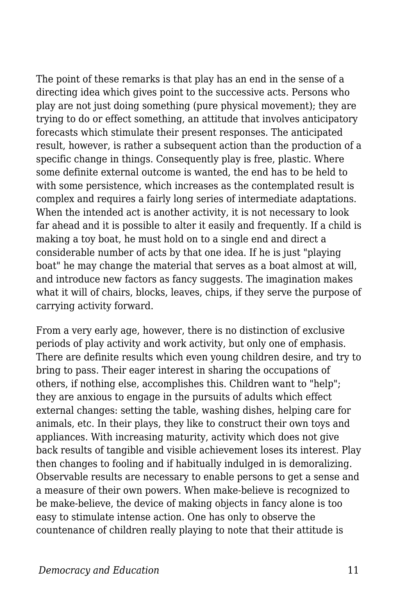The point of these remarks is that play has an end in the sense of a directing idea which gives point to the successive acts. Persons who play are not just doing something (pure physical movement); they are trying to do or effect something, an attitude that involves anticipatory forecasts which stimulate their present responses. The anticipated result, however, is rather a subsequent action than the production of a specific change in things. Consequently play is free, plastic. Where some definite external outcome is wanted, the end has to be held to with some persistence, which increases as the contemplated result is complex and requires a fairly long series of intermediate adaptations. When the intended act is another activity, it is not necessary to look far ahead and it is possible to alter it easily and frequently. If a child is making a toy boat, he must hold on to a single end and direct a considerable number of acts by that one idea. If he is just "playing boat" he may change the material that serves as a boat almost at will, and introduce new factors as fancy suggests. The imagination makes what it will of chairs, blocks, leaves, chips, if they serve the purpose of carrying activity forward.

From a very early age, however, there is no distinction of exclusive periods of play activity and work activity, but only one of emphasis. There are definite results which even young children desire, and try to bring to pass. Their eager interest in sharing the occupations of others, if nothing else, accomplishes this. Children want to "help"; they are anxious to engage in the pursuits of adults which effect external changes: setting the table, washing dishes, helping care for animals, etc. In their plays, they like to construct their own toys and appliances. With increasing maturity, activity which does not give back results of tangible and visible achievement loses its interest. Play then changes to fooling and if habitually indulged in is demoralizing. Observable results are necessary to enable persons to get a sense and a measure of their own powers. When make-believe is recognized to be make-believe, the device of making objects in fancy alone is too easy to stimulate intense action. One has only to observe the countenance of children really playing to note that their attitude is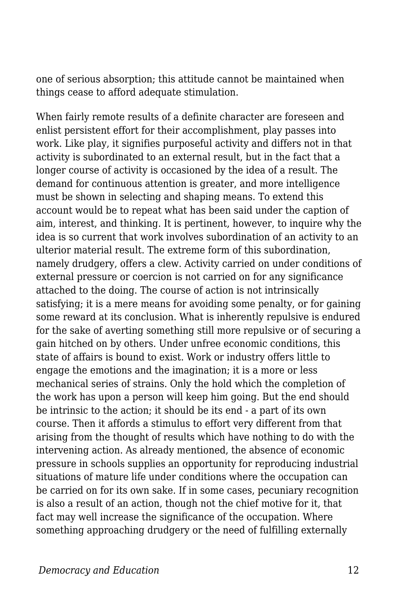one of serious absorption; this attitude cannot be maintained when things cease to afford adequate stimulation.

When fairly remote results of a definite character are foreseen and enlist persistent effort for their accomplishment, play passes into work. Like play, it signifies purposeful activity and differs not in that activity is subordinated to an external result, but in the fact that a longer course of activity is occasioned by the idea of a result. The demand for continuous attention is greater, and more intelligence must be shown in selecting and shaping means. To extend this account would be to repeat what has been said under the caption of aim, interest, and thinking. It is pertinent, however, to inquire why the idea is so current that work involves subordination of an activity to an ulterior material result. The extreme form of this subordination, namely drudgery, offers a clew. Activity carried on under conditions of external pressure or coercion is not carried on for any significance attached to the doing. The course of action is not intrinsically satisfying; it is a mere means for avoiding some penalty, or for gaining some reward at its conclusion. What is inherently repulsive is endured for the sake of averting something still more repulsive or of securing a gain hitched on by others. Under unfree economic conditions, this state of affairs is bound to exist. Work or industry offers little to engage the emotions and the imagination; it is a more or less mechanical series of strains. Only the hold which the completion of the work has upon a person will keep him going. But the end should be intrinsic to the action; it should be its end - a part of its own course. Then it affords a stimulus to effort very different from that arising from the thought of results which have nothing to do with the intervening action. As already mentioned, the absence of economic pressure in schools supplies an opportunity for reproducing industrial situations of mature life under conditions where the occupation can be carried on for its own sake. If in some cases, pecuniary recognition is also a result of an action, though not the chief motive for it, that fact may well increase the significance of the occupation. Where something approaching drudgery or the need of fulfilling externally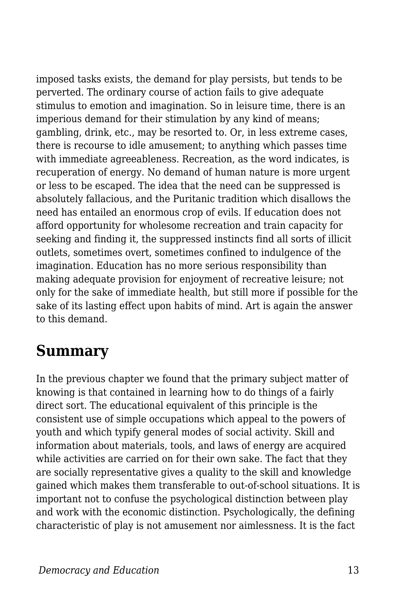imposed tasks exists, the demand for play persists, but tends to be perverted. The ordinary course of action fails to give adequate stimulus to emotion and imagination. So in leisure time, there is an imperious demand for their stimulation by any kind of means; gambling, drink, etc., may be resorted to. Or, in less extreme cases, there is recourse to idle amusement; to anything which passes time with immediate agreeableness. Recreation, as the word indicates, is recuperation of energy. No demand of human nature is more urgent or less to be escaped. The idea that the need can be suppressed is absolutely fallacious, and the Puritanic tradition which disallows the need has entailed an enormous crop of evils. If education does not afford opportunity for wholesome recreation and train capacity for seeking and finding it, the suppressed instincts find all sorts of illicit outlets, sometimes overt, sometimes confined to indulgence of the imagination. Education has no more serious responsibility than making adequate provision for enjoyment of recreative leisure; not only for the sake of immediate health, but still more if possible for the sake of its lasting effect upon habits of mind. Art is again the answer to this demand.

#### **Summary**

In the previous chapter we found that the primary subject matter of knowing is that contained in learning how to do things of a fairly direct sort. The educational equivalent of this principle is the consistent use of simple occupations which appeal to the powers of youth and which typify general modes of social activity. Skill and information about materials, tools, and laws of energy are acquired while activities are carried on for their own sake. The fact that they are socially representative gives a quality to the skill and knowledge gained which makes them transferable to out-of-school situations. It is important not to confuse the psychological distinction between play and work with the economic distinction. Psychologically, the defining characteristic of play is not amusement nor aimlessness. It is the fact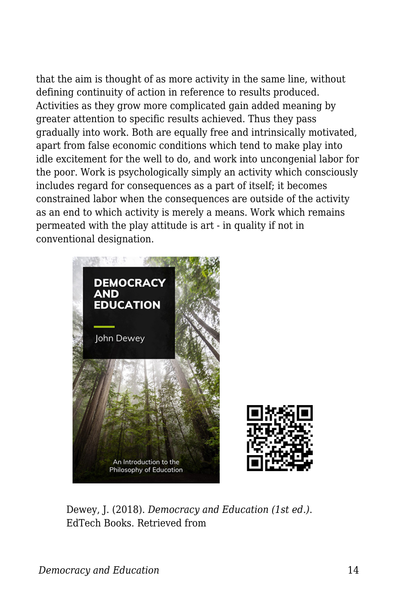that the aim is thought of as more activity in the same line, without defining continuity of action in reference to results produced. Activities as they grow more complicated gain added meaning by greater attention to specific results achieved. Thus they pass gradually into work. Both are equally free and intrinsically motivated, apart from false economic conditions which tend to make play into idle excitement for the well to do, and work into uncongenial labor for the poor. Work is psychologically simply an activity which consciously includes regard for consequences as a part of itself; it becomes constrained labor when the consequences are outside of the activity as an end to which activity is merely a means. Work which remains permeated with the play attitude is art - in quality if not in conventional designation.



Dewey, J. (2018). *Democracy and Education (1st ed.)*. EdTech Books. Retrieved from